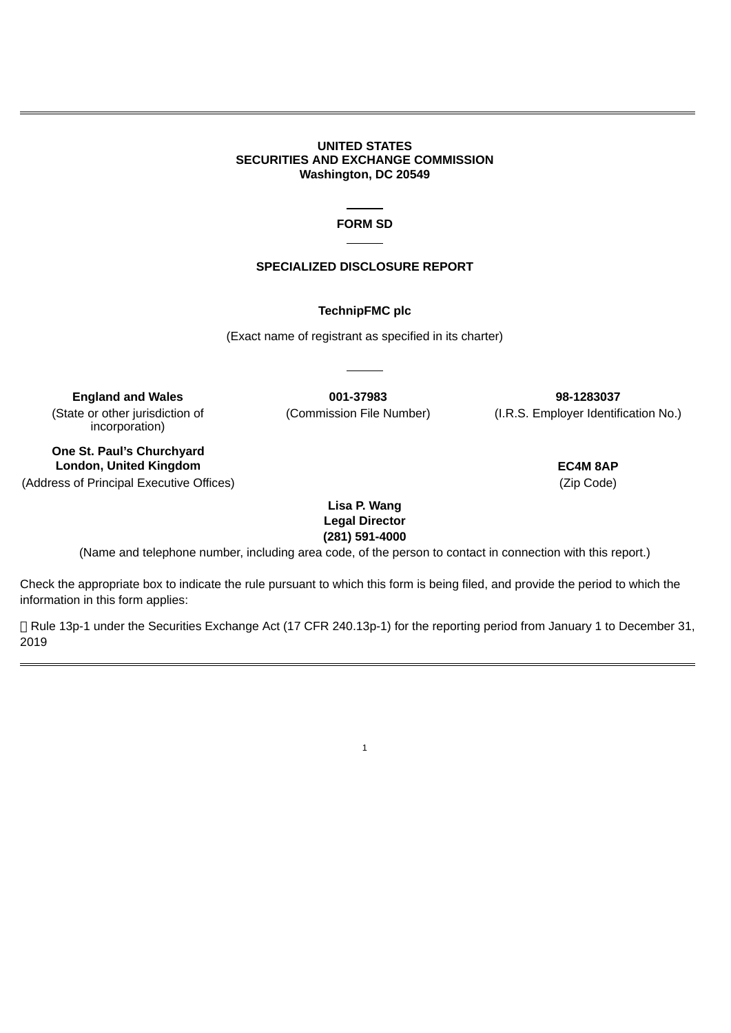#### **UNITED STATES SECURITIES AND EXCHANGE COMMISSION Washington, DC 20549**

# **FORM SD**

# **SPECIALIZED DISCLOSURE REPORT**

#### **TechnipFMC plc**

(Exact name of registrant as specified in its charter)

(State or other jurisdiction of incorporation)

**England and Wales 001-37983 98-1283037** (Commission File Number) (I.R.S. Employer Identification No.)

**One St. Paul's Churchyard London, United Kingdom EC4M 8AP**

(Address of Principal Executive Offices) (Zip Code)

**Lisa P. Wang Legal Director (281) 591-4000**

(Name and telephone number, including area code, of the person to contact in connection with this report.)

Check the appropriate box to indicate the rule pursuant to which this form is being filed, and provide the period to which the information in this form applies:

 Rule 13p-1 under the Securities Exchange Act (17 CFR 240.13p-1) for the reporting period from January 1 to December 31, 2019

1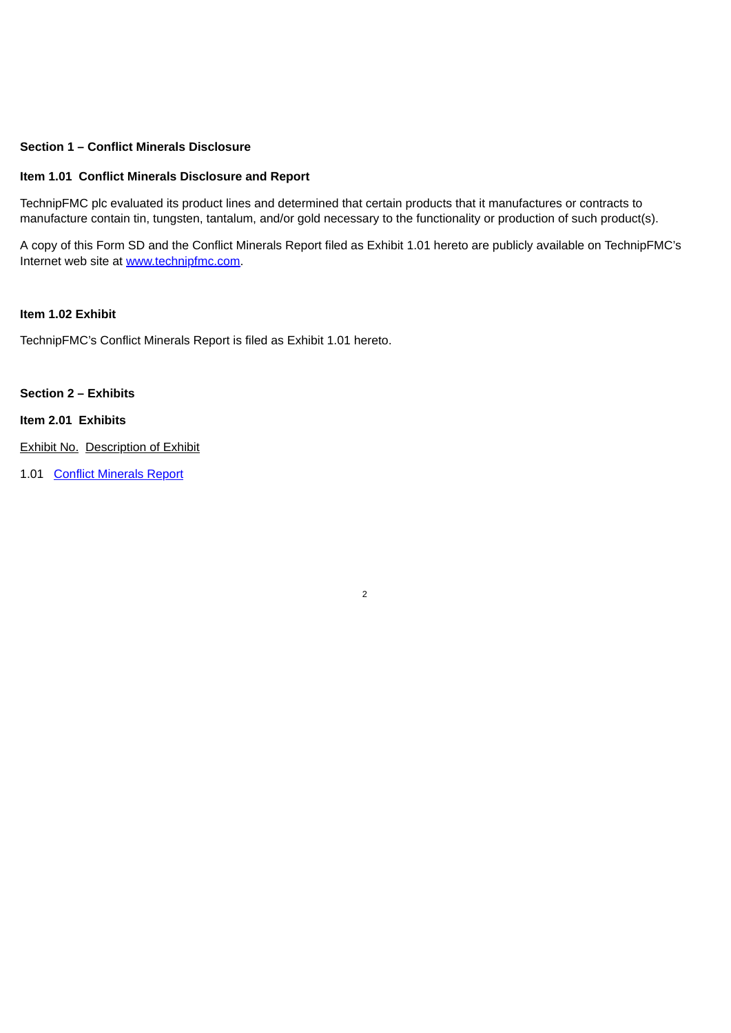# **Section 1 – Conflict Minerals Disclosure**

### **Item 1.01 Conflict Minerals Disclosure and Report**

TechnipFMC plc evaluated its product lines and determined that certain products that it manufactures or contracts to manufacture contain tin, tungsten, tantalum, and/or gold necessary to the functionality or production of such product(s).

A copy of this Form SD and the Conflict Minerals Report filed as Exhibit 1.01 hereto are publicly available on TechnipFMC's Internet web site at www.technipfmc.com.

2

### **Item 1.02 Exhibit**

TechnipFMC's Conflict Minerals Report is filed as Exhibit 1.01 hereto.

### **Section 2 – Exhibits**

#### **Item 2.01 Exhibits**

Exhibit No. Description of Exhibit

1.01 Conflict [Minerals](#page-4-0) Report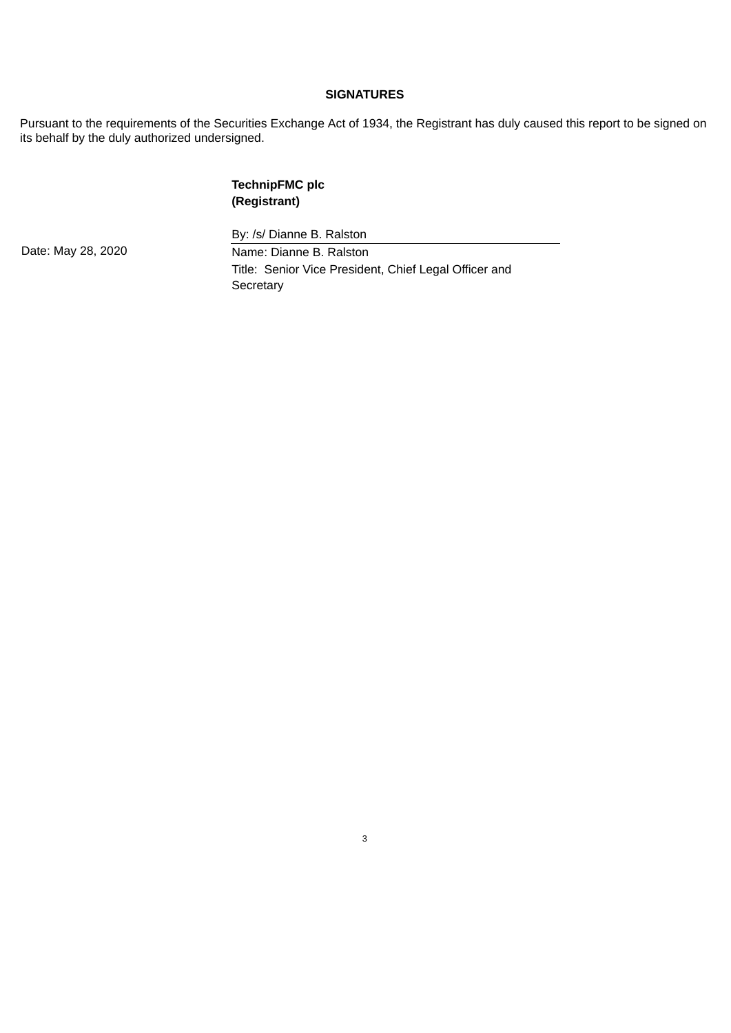### **SIGNATURES**

Pursuant to the requirements of the Securities Exchange Act of 1934, the Registrant has duly caused this report to be signed on its behalf by the duly authorized undersigned.

# **TechnipFMC plc (Registrant)**

By: /s/ Dianne B. Ralston Date: May 28, 2020 Name: Dianne B. Ralston Title: Senior Vice President, Chief Legal Officer and **Secretary**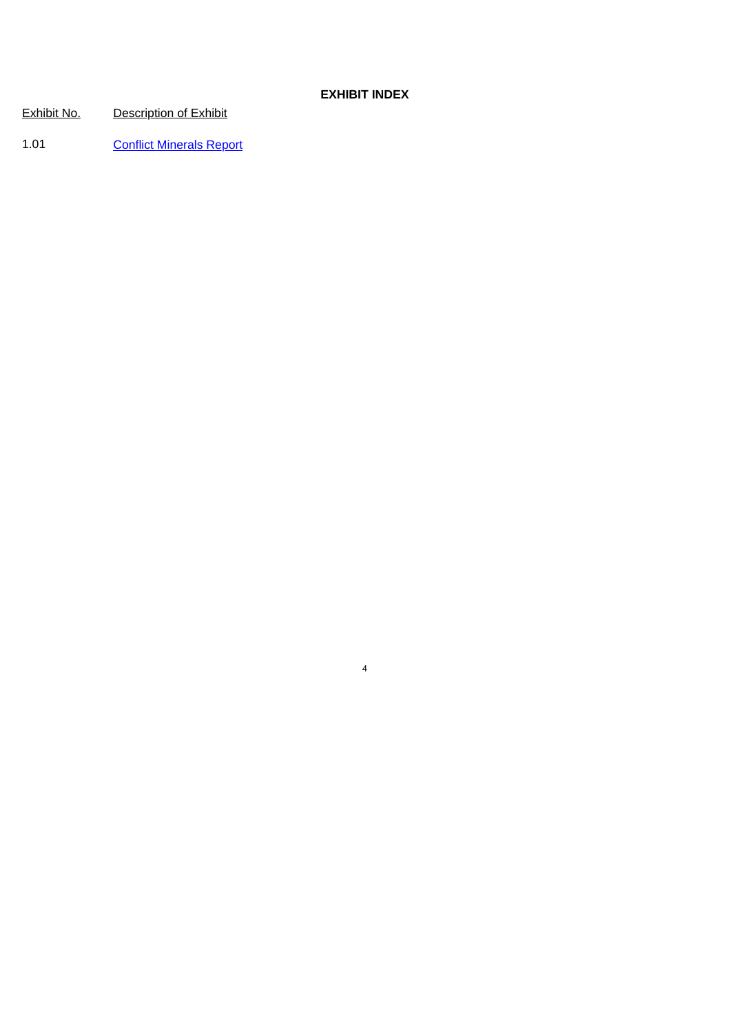## **EXHIBIT INDEX**

4

Exhibit No. Description of Exhibit

1.01 Conflict [Minerals](#page-4-0) Report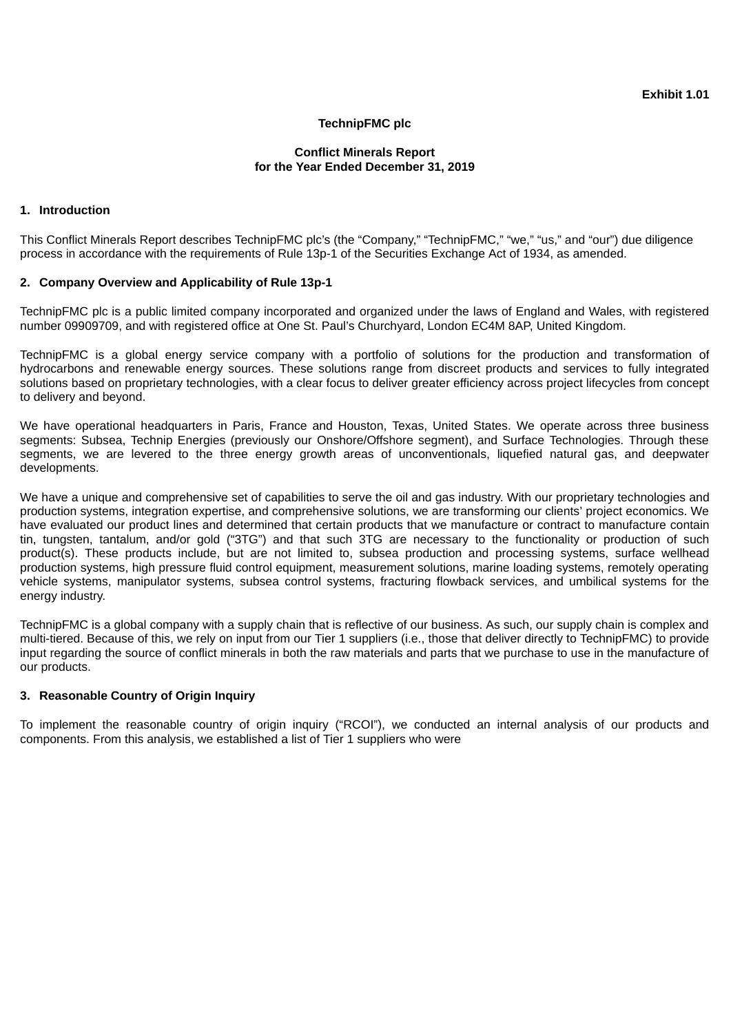## **TechnipFMC plc**

### **Conflict Minerals Report for the Year Ended December 31, 2019**

#### <span id="page-4-0"></span>**1. Introduction**

This Conflict Minerals Report describes TechnipFMC plc's (the "Company," "TechnipFMC," "we," "us," and "our") due diligence process in accordance with the requirements of Rule 13p-1 of the Securities Exchange Act of 1934, as amended.

#### **2. Company Overview and Applicability of Rule 13p-1**

TechnipFMC plc is a public limited company incorporated and organized under the laws of England and Wales, with registered number 09909709, and with registered office at One St. Paul's Churchyard, London EC4M 8AP, United Kingdom.

TechnipFMC is a global energy service company with a portfolio of solutions for the production and transformation of hydrocarbons and renewable energy sources. These solutions range from discreet products and services to fully integrated solutions based on proprietary technologies, with a clear focus to deliver greater efficiency across project lifecycles from concept to delivery and beyond.

We have operational headquarters in Paris, France and Houston, Texas, United States. We operate across three business segments: Subsea, Technip Energies (previously our Onshore/Offshore segment), and Surface Technologies. Through these segments, we are levered to the three energy growth areas of unconventionals, liquefied natural gas, and deepwater developments.

We have a unique and comprehensive set of capabilities to serve the oil and gas industry. With our proprietary technologies and production systems, integration expertise, and comprehensive solutions, we are transforming our clients' project economics. We have evaluated our product lines and determined that certain products that we manufacture or contract to manufacture contain tin, tungsten, tantalum, and/or gold ("3TG") and that such 3TG are necessary to the functionality or production of such product(s). These products include, but are not limited to, subsea production and processing systems, surface wellhead production systems, high pressure fluid control equipment, measurement solutions, marine loading systems, remotely operating vehicle systems, manipulator systems, subsea control systems, fracturing flowback services, and umbilical systems for the energy industry.

TechnipFMC is a global company with a supply chain that is reflective of our business. As such, our supply chain is complex and multi-tiered. Because of this, we rely on input from our Tier 1 suppliers (i.e., those that deliver directly to TechnipFMC) to provide input regarding the source of conflict minerals in both the raw materials and parts that we purchase to use in the manufacture of our products.

### **3. Reasonable Country of Origin Inquiry**

To implement the reasonable country of origin inquiry ("RCOI"), we conducted an internal analysis of our products and components. From this analysis, we established a list of Tier 1 suppliers who were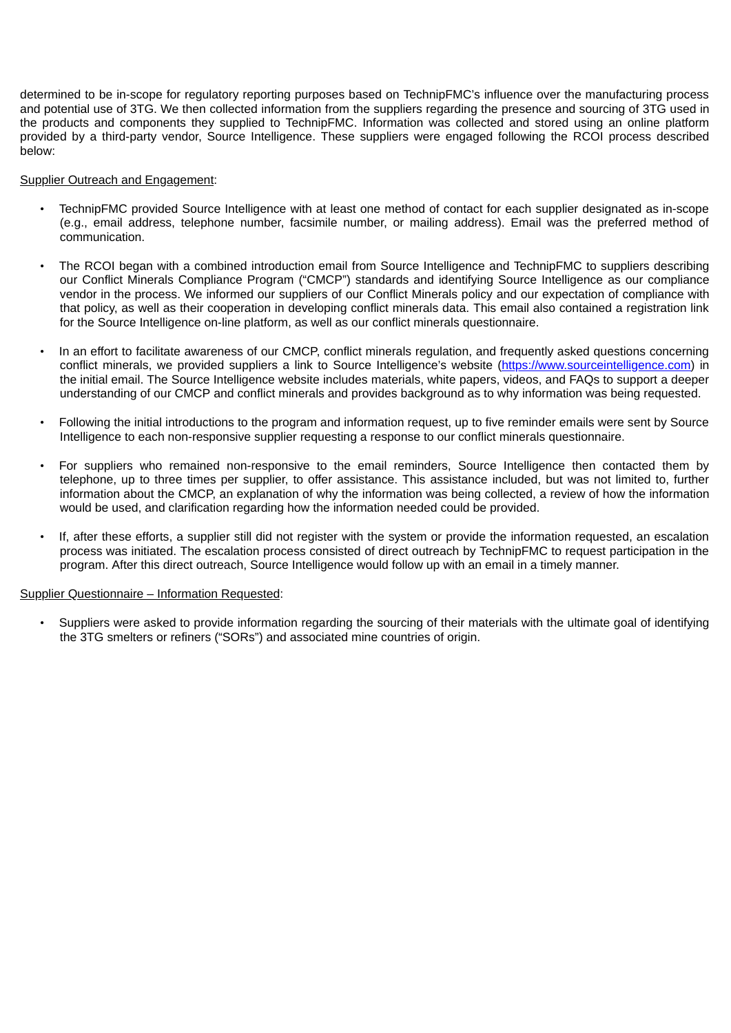determined to be in-scope for regulatory reporting purposes based on TechnipFMC's influence over the manufacturing process and potential use of 3TG. We then collected information from the suppliers regarding the presence and sourcing of 3TG used in the products and components they supplied to TechnipFMC. Information was collected and stored using an online platform provided by a third-party vendor, Source Intelligence. These suppliers were engaged following the RCOI process described below:

### **Supplier Outreach and Engagement:**

- TechnipFMC provided Source Intelligence with at least one method of contact for each supplier designated as in-scope (e.g., email address, telephone number, facsimile number, or mailing address). Email was the preferred method of communication.
- The RCOI began with a combined introduction email from Source Intelligence and TechnipFMC to suppliers describing our Conflict Minerals Compliance Program ("CMCP") standards and identifying Source Intelligence as our compliance vendor in the process. We informed our suppliers of our Conflict Minerals policy and our expectation of compliance with that policy, as well as their cooperation in developing conflict minerals data. This email also contained a registration link for the Source Intelligence on-line platform, as well as our conflict minerals questionnaire.
- In an effort to facilitate awareness of our CMCP, conflict minerals regulation, and frequently asked questions concerning conflict minerals, we provided suppliers a link to Source Intelligence's website (https://www.sourceintelligence.com) in the initial email. The Source Intelligence website includes materials, white papers, videos, and FAQs to support a deeper understanding of our CMCP and conflict minerals and provides background as to why information was being requested.
- Following the initial introductions to the program and information request, up to five reminder emails were sent by Source Intelligence to each non-responsive supplier requesting a response to our conflict minerals questionnaire.
- For suppliers who remained non-responsive to the email reminders, Source Intelligence then contacted them by telephone, up to three times per supplier, to offer assistance. This assistance included, but was not limited to, further information about the CMCP, an explanation of why the information was being collected, a review of how the information would be used, and clarification regarding how the information needed could be provided.
- If, after these efforts, a supplier still did not register with the system or provide the information requested, an escalation process was initiated. The escalation process consisted of direct outreach by TechnipFMC to request participation in the program. After this direct outreach, Source Intelligence would follow up with an email in a timely manner.

### Supplier Questionnaire – Information Requested:

• Suppliers were asked to provide information regarding the sourcing of their materials with the ultimate goal of identifying the 3TG smelters or refiners ("SORs") and associated mine countries of origin.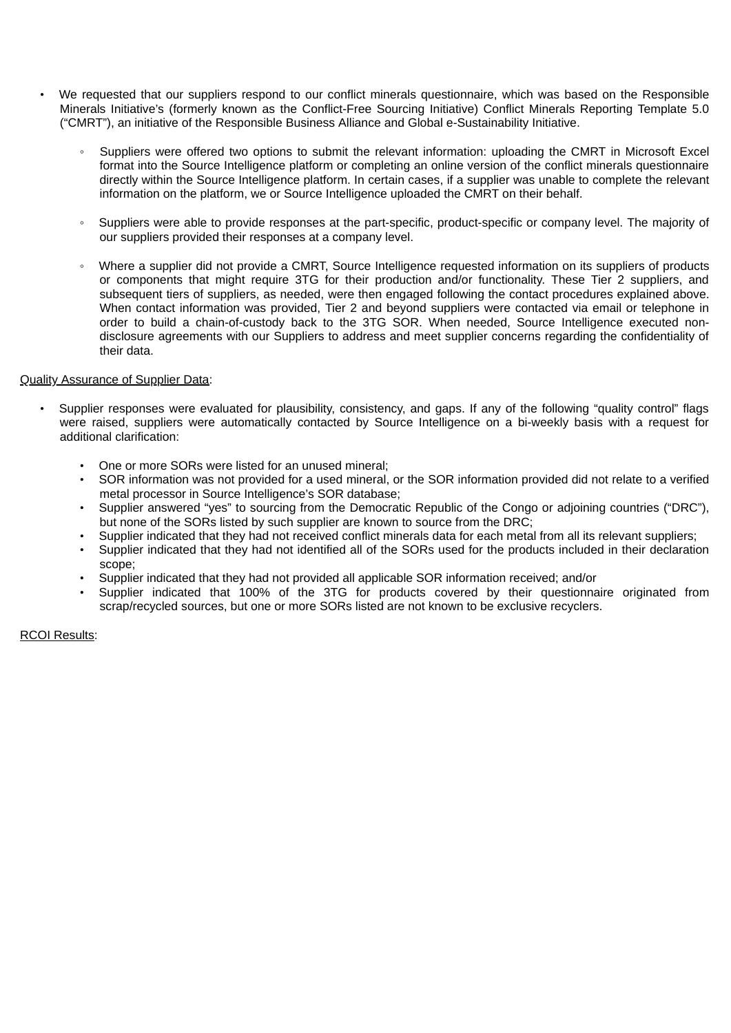- We requested that our suppliers respond to our conflict minerals questionnaire, which was based on the Responsible Minerals Initiative's (formerly known as the Conflict-Free Sourcing Initiative) Conflict Minerals Reporting Template 5.0 ("CMRT"), an initiative of the Responsible Business Alliance and Global e-Sustainability Initiative.
	- Suppliers were offered two options to submit the relevant information: uploading the CMRT in Microsoft Excel format into the Source Intelligence platform or completing an online version of the conflict minerals questionnaire directly within the Source Intelligence platform. In certain cases, if a supplier was unable to complete the relevant information on the platform, we or Source Intelligence uploaded the CMRT on their behalf.
	- Suppliers were able to provide responses at the part-specific, product-specific or company level. The majority of our suppliers provided their responses at a company level.
	- Where a supplier did not provide a CMRT, Source Intelligence requested information on its suppliers of products or components that might require 3TG for their production and/or functionality. These Tier 2 suppliers, and subsequent tiers of suppliers, as needed, were then engaged following the contact procedures explained above. When contact information was provided, Tier 2 and beyond suppliers were contacted via email or telephone in order to build a chain-of-custody back to the 3TG SOR. When needed, Source Intelligence executed nondisclosure agreements with our Suppliers to address and meet supplier concerns regarding the confidentiality of their data.

### Quality Assurance of Supplier Data:

- Supplier responses were evaluated for plausibility, consistency, and gaps. If any of the following "quality control" flags were raised, suppliers were automatically contacted by Source Intelligence on a bi-weekly basis with a request for additional clarification:
	- One or more SORs were listed for an unused mineral;
	- SOR information was not provided for a used mineral, or the SOR information provided did not relate to a verified metal processor in Source Intelligence's SOR database;
	- Supplier answered "yes" to sourcing from the Democratic Republic of the Congo or adjoining countries ("DRC"), but none of the SORs listed by such supplier are known to source from the DRC;
	- Supplier indicated that they had not received conflict minerals data for each metal from all its relevant suppliers;
	- Supplier indicated that they had not identified all of the SORs used for the products included in their declaration scope;
	- Supplier indicated that they had not provided all applicable SOR information received; and/or
	- Supplier indicated that 100% of the 3TG for products covered by their questionnaire originated from scrap/recycled sources, but one or more SORs listed are not known to be exclusive recyclers.

RCOI Results: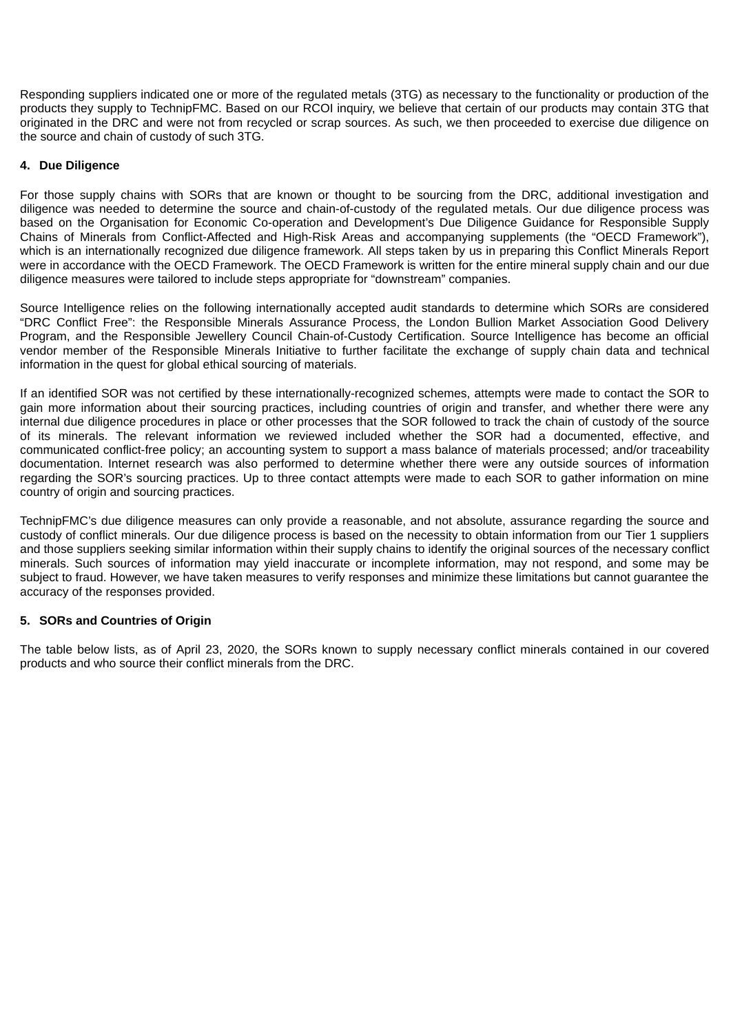Responding suppliers indicated one or more of the regulated metals (3TG) as necessary to the functionality or production of the products they supply to TechnipFMC. Based on our RCOI inquiry, we believe that certain of our products may contain 3TG that originated in the DRC and were not from recycled or scrap sources. As such, we then proceeded to exercise due diligence on the source and chain of custody of such 3TG.

### **4. Due Diligence**

For those supply chains with SORs that are known or thought to be sourcing from the DRC, additional investigation and diligence was needed to determine the source and chain-of-custody of the regulated metals. Our due diligence process was based on the Organisation for Economic Co-operation and Development's Due Diligence Guidance for Responsible Supply Chains of Minerals from Conflict-Affected and High-Risk Areas and accompanying supplements (the "OECD Framework"), which is an internationally recognized due diligence framework. All steps taken by us in preparing this Conflict Minerals Report were in accordance with the OECD Framework. The OECD Framework is written for the entire mineral supply chain and our due diligence measures were tailored to include steps appropriate for "downstream" companies.

Source Intelligence relies on the following internationally accepted audit standards to determine which SORs are considered "DRC Conflict Free": the Responsible Minerals Assurance Process, the London Bullion Market Association Good Delivery Program, and the Responsible Jewellery Council Chain-of-Custody Certification. Source Intelligence has become an official vendor member of the Responsible Minerals Initiative to further facilitate the exchange of supply chain data and technical information in the quest for global ethical sourcing of materials.

If an identified SOR was not certified by these internationally-recognized schemes, attempts were made to contact the SOR to gain more information about their sourcing practices, including countries of origin and transfer, and whether there were any internal due diligence procedures in place or other processes that the SOR followed to track the chain of custody of the source of its minerals. The relevant information we reviewed included whether the SOR had a documented, effective, and communicated conflict-free policy; an accounting system to support a mass balance of materials processed; and/or traceability documentation. Internet research was also performed to determine whether there were any outside sources of information regarding the SOR's sourcing practices. Up to three contact attempts were made to each SOR to gather information on mine country of origin and sourcing practices.

TechnipFMC's due diligence measures can only provide a reasonable, and not absolute, assurance regarding the source and custody of conflict minerals. Our due diligence process is based on the necessity to obtain information from our Tier 1 suppliers and those suppliers seeking similar information within their supply chains to identify the original sources of the necessary conflict minerals. Such sources of information may yield inaccurate or incomplete information, may not respond, and some may be subject to fraud. However, we have taken measures to verify responses and minimize these limitations but cannot guarantee the accuracy of the responses provided.

### **5. SORs and Countries of Origin**

The table below lists, as of April 23, 2020, the SORs known to supply necessary conflict minerals contained in our covered products and who source their conflict minerals from the DRC.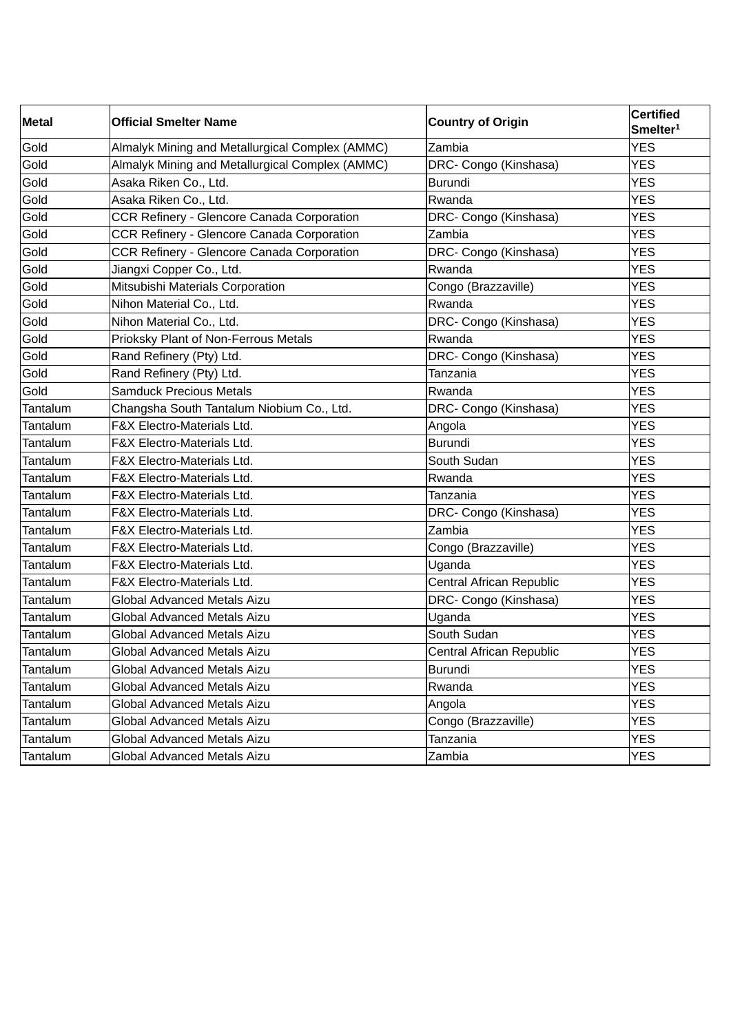| <b>Metal</b> | <b>Official Smelter Name</b>                    | <b>Country of Origin</b> | <b>Certified</b><br>Smelter <sup>1</sup> |
|--------------|-------------------------------------------------|--------------------------|------------------------------------------|
| Gold         | Almalyk Mining and Metallurgical Complex (AMMC) | Zambia                   | <b>YES</b>                               |
| Gold         | Almalyk Mining and Metallurgical Complex (AMMC) | DRC- Congo (Kinshasa)    | <b>YES</b>                               |
| Gold         | Asaka Riken Co., Ltd.                           | <b>Burundi</b>           | <b>YES</b>                               |
| Gold         | Asaka Riken Co., Ltd.                           | Rwanda                   | <b>YES</b>                               |
| Gold         | CCR Refinery - Glencore Canada Corporation      | DRC- Congo (Kinshasa)    | <b>YES</b>                               |
| Gold         | CCR Refinery - Glencore Canada Corporation      | Zambia                   | <b>YES</b>                               |
| Gold         | CCR Refinery - Glencore Canada Corporation      | DRC- Congo (Kinshasa)    | <b>YES</b>                               |
| Gold         | Jiangxi Copper Co., Ltd.                        | Rwanda                   | <b>YES</b>                               |
| Gold         | Mitsubishi Materials Corporation                | Congo (Brazzaville)      | <b>YES</b>                               |
| Gold         | Nihon Material Co., Ltd.                        | Rwanda                   | <b>YES</b>                               |
| Gold         | Nihon Material Co., Ltd.                        | DRC- Congo (Kinshasa)    | <b>YES</b>                               |
| Gold         | Prioksky Plant of Non-Ferrous Metals            | Rwanda                   | <b>YES</b>                               |
| Gold         | Rand Refinery (Pty) Ltd.                        | DRC- Congo (Kinshasa)    | <b>YES</b>                               |
| Gold         | Rand Refinery (Pty) Ltd.                        | Tanzania                 | <b>YES</b>                               |
| Gold         | <b>Samduck Precious Metals</b>                  | Rwanda                   | <b>YES</b>                               |
| Tantalum     | Changsha South Tantalum Niobium Co., Ltd.       | DRC- Congo (Kinshasa)    | <b>YES</b>                               |
| Tantalum     | F&X Electro-Materials Ltd.                      | Angola                   | <b>YES</b>                               |
| Tantalum     | F&X Electro-Materials Ltd.                      | <b>Burundi</b>           | <b>YES</b>                               |
| Tantalum     | F&X Electro-Materials Ltd.                      | South Sudan              | <b>YES</b>                               |
| Tantalum     | F&X Electro-Materials Ltd.                      | Rwanda                   | <b>YES</b>                               |
| Tantalum     | F&X Electro-Materials Ltd.                      | Tanzania                 | <b>YES</b>                               |
| Tantalum     | F&X Electro-Materials Ltd.                      | DRC- Congo (Kinshasa)    | <b>YES</b>                               |
| Tantalum     | F&X Electro-Materials Ltd.                      | Zambia                   | <b>YES</b>                               |
| Tantalum     | F&X Electro-Materials Ltd.                      | Congo (Brazzaville)      | <b>YES</b>                               |
| Tantalum     | F&X Electro-Materials Ltd.                      | Uganda                   | <b>YES</b>                               |
| Tantalum     | F&X Electro-Materials Ltd.                      | Central African Republic | <b>YES</b>                               |
| Tantalum     | Global Advanced Metals Aizu                     | DRC- Congo (Kinshasa)    | <b>YES</b>                               |
| Tantalum     | <b>Global Advanced Metals Aizu</b>              | Uganda                   | <b>YES</b>                               |
| Tantalum     | Global Advanced Metals Aizu                     | South Sudan              | <b>YES</b>                               |
| Tantalum     | Global Advanced Metals Aizu                     | Central African Republic | <b>YES</b>                               |
| Tantalum     | Global Advanced Metals Aizu                     | <b>Burundi</b>           | <b>YES</b>                               |
| Tantalum     | Global Advanced Metals Aizu                     | Rwanda                   | <b>YES</b>                               |
| Tantalum     | <b>Global Advanced Metals Aizu</b>              | Angola                   | <b>YES</b>                               |
| Tantalum     | Global Advanced Metals Aizu                     | Congo (Brazzaville)      | <b>YES</b>                               |
| Tantalum     | Global Advanced Metals Aizu                     | Tanzania                 | <b>YES</b>                               |
| Tantalum     | Global Advanced Metals Aizu                     | Zambia                   | <b>YES</b>                               |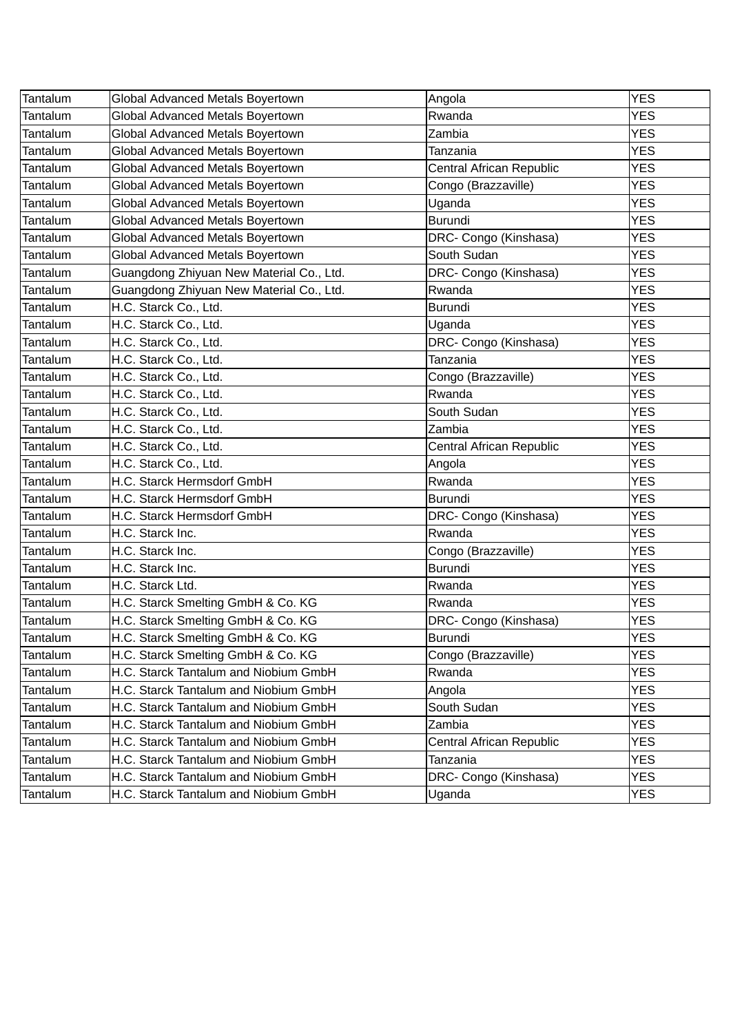| Tantalum | Global Advanced Metals Boyertown         | Angola                   | <b>YES</b> |
|----------|------------------------------------------|--------------------------|------------|
| Tantalum | Global Advanced Metals Boyertown         | Rwanda                   | <b>YES</b> |
| Tantalum | Global Advanced Metals Boyertown         | Zambia                   | <b>YES</b> |
| Tantalum | Global Advanced Metals Boyertown         | Tanzania                 | <b>YES</b> |
| Tantalum | Global Advanced Metals Boyertown         | Central African Republic | <b>YES</b> |
| Tantalum | Global Advanced Metals Boyertown         | Congo (Brazzaville)      | <b>YES</b> |
| Tantalum | Global Advanced Metals Boyertown         | Uganda                   | <b>YES</b> |
| Tantalum | Global Advanced Metals Boyertown         | <b>Burundi</b>           | <b>YES</b> |
| Tantalum | Global Advanced Metals Boyertown         | DRC- Congo (Kinshasa)    | <b>YES</b> |
| Tantalum | Global Advanced Metals Boyertown         | South Sudan              | <b>YES</b> |
| Tantalum | Guangdong Zhiyuan New Material Co., Ltd. | DRC- Congo (Kinshasa)    | <b>YES</b> |
| Tantalum | Guangdong Zhiyuan New Material Co., Ltd. | Rwanda                   | <b>YES</b> |
| Tantalum | H.C. Starck Co., Ltd.                    | <b>Burundi</b>           | <b>YES</b> |
| Tantalum | H.C. Starck Co., Ltd.                    | Uganda                   | <b>YES</b> |
| Tantalum | H.C. Starck Co., Ltd.                    | DRC- Congo (Kinshasa)    | <b>YES</b> |
| Tantalum | H.C. Starck Co., Ltd.                    | Tanzania                 | <b>YES</b> |
| Tantalum | H.C. Starck Co., Ltd.                    | Congo (Brazzaville)      | <b>YES</b> |
| Tantalum | H.C. Starck Co., Ltd.                    | Rwanda                   | <b>YES</b> |
| Tantalum | H.C. Starck Co., Ltd.                    | South Sudan              | <b>YES</b> |
| Tantalum | H.C. Starck Co., Ltd.                    | Zambia                   | <b>YES</b> |
| Tantalum | H.C. Starck Co., Ltd.                    | Central African Republic | <b>YES</b> |
| Tantalum | H.C. Starck Co., Ltd.                    | Angola                   | <b>YES</b> |
| Tantalum | H.C. Starck Hermsdorf GmbH               | Rwanda                   | <b>YES</b> |
| Tantalum | H.C. Starck Hermsdorf GmbH               | Burundi                  | <b>YES</b> |
| Tantalum | H.C. Starck Hermsdorf GmbH               | DRC- Congo (Kinshasa)    | <b>YES</b> |
| Tantalum | H.C. Starck Inc.                         | Rwanda                   | <b>YES</b> |
| Tantalum | H.C. Starck Inc.                         | Congo (Brazzaville)      | <b>YES</b> |
| Tantalum | H.C. Starck Inc.                         | <b>Burundi</b>           | <b>YES</b> |
| Tantalum | H.C. Starck Ltd.                         | Rwanda                   | <b>YES</b> |
| Tantalum | H.C. Starck Smelting GmbH & Co. KG       | Rwanda                   | <b>YES</b> |
| Tantalum | H.C. Starck Smelting GmbH & Co. KG       | DRC- Congo (Kinshasa)    | <b>YES</b> |
| Tantalum | H.C. Starck Smelting GmbH & Co. KG       | <b>Burundi</b>           | <b>YES</b> |
| Tantalum | H.C. Starck Smelting GmbH & Co. KG       | Congo (Brazzaville)      | <b>YES</b> |
| Tantalum | H.C. Starck Tantalum and Niobium GmbH    | Rwanda                   | <b>YES</b> |
| Tantalum | H.C. Starck Tantalum and Niobium GmbH    | Angola                   | <b>YES</b> |
| Tantalum | H.C. Starck Tantalum and Niobium GmbH    | South Sudan              | <b>YES</b> |
| Tantalum | H.C. Starck Tantalum and Niobium GmbH    | Zambia                   | <b>YES</b> |
| Tantalum | H.C. Starck Tantalum and Niobium GmbH    | Central African Republic | <b>YES</b> |
| Tantalum | H.C. Starck Tantalum and Niobium GmbH    | Tanzania                 | <b>YES</b> |
| Tantalum | H.C. Starck Tantalum and Niobium GmbH    | DRC- Congo (Kinshasa)    | <b>YES</b> |
| Tantalum | H.C. Starck Tantalum and Niobium GmbH    | Uganda                   | <b>YES</b> |
|          |                                          |                          |            |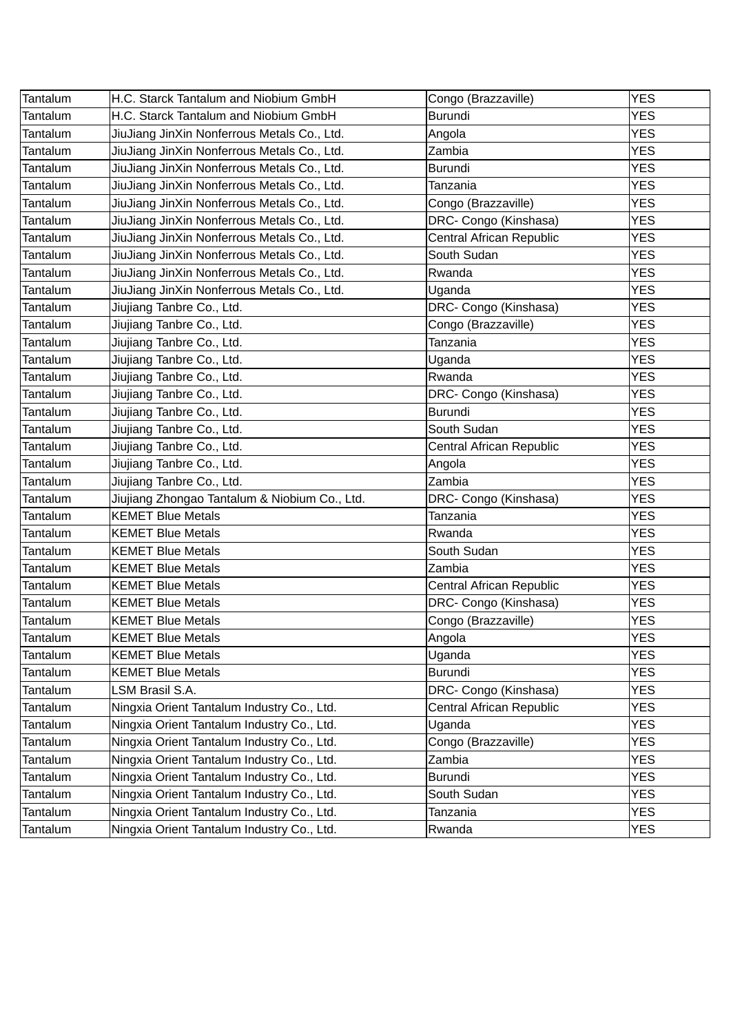| <b>YES</b><br>H.C. Starck Tantalum and Niobium GmbH<br>Congo (Brazzaville)<br>H.C. Starck Tantalum and Niobium GmbH<br><b>Burundi</b><br><b>YES</b><br><b>YES</b><br>JiuJiang JinXin Nonferrous Metals Co., Ltd.<br>Angola<br>JiuJiang JinXin Nonferrous Metals Co., Ltd.<br>Zambia<br><b>YES</b><br>JiuJiang JinXin Nonferrous Metals Co., Ltd.<br><b>YES</b><br><b>Burundi</b><br><b>YES</b><br>JiuJiang JinXin Nonferrous Metals Co., Ltd.<br>Tanzania<br>JiuJiang JinXin Nonferrous Metals Co., Ltd.<br><b>YES</b><br>Congo (Brazzaville)<br>JiuJiang JinXin Nonferrous Metals Co., Ltd.<br>DRC- Congo (Kinshasa)<br><b>YES</b><br>JiuJiang JinXin Nonferrous Metals Co., Ltd.<br>Central African Republic<br><b>YES</b><br>South Sudan<br><b>YES</b><br>JiuJiang JinXin Nonferrous Metals Co., Ltd.<br>JiuJiang JinXin Nonferrous Metals Co., Ltd.<br><b>YES</b><br>Rwanda<br>JiuJiang JinXin Nonferrous Metals Co., Ltd.<br><b>YES</b><br>Uganda<br>DRC- Congo (Kinshasa)<br><b>YES</b><br>Jiujiang Tanbre Co., Ltd.<br>Congo (Brazzaville)<br><b>YES</b><br>Jiujiang Tanbre Co., Ltd.<br>Jiujiang Tanbre Co., Ltd.<br><b>YES</b><br>Tanzania<br><b>YES</b><br>Jiujiang Tanbre Co., Ltd.<br>Uganda<br><b>YES</b><br>Jiujiang Tanbre Co., Ltd.<br>Rwanda<br><b>YES</b><br>Jiujiang Tanbre Co., Ltd.<br>DRC- Congo (Kinshasa)<br>Jiujiang Tanbre Co., Ltd.<br><b>Burundi</b><br><b>YES</b><br><b>YES</b><br>Jiujiang Tanbre Co., Ltd.<br>South Sudan<br><b>YES</b><br>Jiujiang Tanbre Co., Ltd.<br>Central African Republic<br>Jiujiang Tanbre Co., Ltd.<br><b>YES</b><br>Angola<br>Jiujiang Tanbre Co., Ltd.<br>Zambia<br><b>YES</b><br>Jiujiang Zhongao Tantalum & Niobium Co., Ltd.<br><b>YES</b><br>DRC- Congo (Kinshasa)<br><b>KEMET Blue Metals</b><br><b>YES</b><br>Tanzania<br><b>YES</b><br><b>KEMET Blue Metals</b><br>Rwanda<br>South Sudan<br><b>YES</b><br><b>KEMET Blue Metals</b><br><b>YES</b><br>Zambia<br><b>KEMET Blue Metals</b><br><b>YES</b><br><b>KEMET Blue Metals</b><br>Central African Republic<br>DRC- Congo (Kinshasa)<br><b>YES</b><br><b>KEMET Blue Metals</b><br>Congo (Brazzaville)<br><b>YES</b><br><b>KEMET Blue Metals</b><br><b>YES</b><br><b>KEMET Blue Metals</b><br>Angola<br>Uganda<br><b>KEMET Blue Metals</b><br><b>YES</b><br>Burundi<br><b>YES</b><br><b>KEMET Blue Metals</b><br>LSM Brasil S.A.<br>DRC- Congo (Kinshasa)<br><b>YES</b><br><b>YES</b><br>Ningxia Orient Tantalum Industry Co., Ltd.<br>Central African Republic<br><b>YES</b><br>Ningxia Orient Tantalum Industry Co., Ltd.<br>Uganda<br>Ningxia Orient Tantalum Industry Co., Ltd.<br><b>YES</b><br>Congo (Brazzaville)<br><b>YES</b><br>Ningxia Orient Tantalum Industry Co., Ltd.<br>Zambia<br>Ningxia Orient Tantalum Industry Co., Ltd.<br><b>YES</b><br>Burundi<br>Ningxia Orient Tantalum Industry Co., Ltd.<br>South Sudan<br><b>YES</b><br>Ningxia Orient Tantalum Industry Co., Ltd.<br><b>YES</b><br>Tanzania |                 |                                            |        |            |
|--------------------------------------------------------------------------------------------------------------------------------------------------------------------------------------------------------------------------------------------------------------------------------------------------------------------------------------------------------------------------------------------------------------------------------------------------------------------------------------------------------------------------------------------------------------------------------------------------------------------------------------------------------------------------------------------------------------------------------------------------------------------------------------------------------------------------------------------------------------------------------------------------------------------------------------------------------------------------------------------------------------------------------------------------------------------------------------------------------------------------------------------------------------------------------------------------------------------------------------------------------------------------------------------------------------------------------------------------------------------------------------------------------------------------------------------------------------------------------------------------------------------------------------------------------------------------------------------------------------------------------------------------------------------------------------------------------------------------------------------------------------------------------------------------------------------------------------------------------------------------------------------------------------------------------------------------------------------------------------------------------------------------------------------------------------------------------------------------------------------------------------------------------------------------------------------------------------------------------------------------------------------------------------------------------------------------------------------------------------------------------------------------------------------------------------------------------------------------------------------------------------------------------------------------------------------------------------------------------------------------------------------------------------------------------------------------------------------------------------------------------------------------------------------------------------------------------------------------------------------------------------------------------------------------------------------|-----------------|--------------------------------------------|--------|------------|
|                                                                                                                                                                                                                                                                                                                                                                                                                                                                                                                                                                                                                                                                                                                                                                                                                                                                                                                                                                                                                                                                                                                                                                                                                                                                                                                                                                                                                                                                                                                                                                                                                                                                                                                                                                                                                                                                                                                                                                                                                                                                                                                                                                                                                                                                                                                                                                                                                                                                                                                                                                                                                                                                                                                                                                                                                                                                                                                                            | Tantalum        |                                            |        |            |
|                                                                                                                                                                                                                                                                                                                                                                                                                                                                                                                                                                                                                                                                                                                                                                                                                                                                                                                                                                                                                                                                                                                                                                                                                                                                                                                                                                                                                                                                                                                                                                                                                                                                                                                                                                                                                                                                                                                                                                                                                                                                                                                                                                                                                                                                                                                                                                                                                                                                                                                                                                                                                                                                                                                                                                                                                                                                                                                                            | Tantalum        |                                            |        |            |
|                                                                                                                                                                                                                                                                                                                                                                                                                                                                                                                                                                                                                                                                                                                                                                                                                                                                                                                                                                                                                                                                                                                                                                                                                                                                                                                                                                                                                                                                                                                                                                                                                                                                                                                                                                                                                                                                                                                                                                                                                                                                                                                                                                                                                                                                                                                                                                                                                                                                                                                                                                                                                                                                                                                                                                                                                                                                                                                                            | Tantalum        |                                            |        |            |
|                                                                                                                                                                                                                                                                                                                                                                                                                                                                                                                                                                                                                                                                                                                                                                                                                                                                                                                                                                                                                                                                                                                                                                                                                                                                                                                                                                                                                                                                                                                                                                                                                                                                                                                                                                                                                                                                                                                                                                                                                                                                                                                                                                                                                                                                                                                                                                                                                                                                                                                                                                                                                                                                                                                                                                                                                                                                                                                                            | Tantalum        |                                            |        |            |
|                                                                                                                                                                                                                                                                                                                                                                                                                                                                                                                                                                                                                                                                                                                                                                                                                                                                                                                                                                                                                                                                                                                                                                                                                                                                                                                                                                                                                                                                                                                                                                                                                                                                                                                                                                                                                                                                                                                                                                                                                                                                                                                                                                                                                                                                                                                                                                                                                                                                                                                                                                                                                                                                                                                                                                                                                                                                                                                                            | Tantalum        |                                            |        |            |
|                                                                                                                                                                                                                                                                                                                                                                                                                                                                                                                                                                                                                                                                                                                                                                                                                                                                                                                                                                                                                                                                                                                                                                                                                                                                                                                                                                                                                                                                                                                                                                                                                                                                                                                                                                                                                                                                                                                                                                                                                                                                                                                                                                                                                                                                                                                                                                                                                                                                                                                                                                                                                                                                                                                                                                                                                                                                                                                                            | Tantalum        |                                            |        |            |
|                                                                                                                                                                                                                                                                                                                                                                                                                                                                                                                                                                                                                                                                                                                                                                                                                                                                                                                                                                                                                                                                                                                                                                                                                                                                                                                                                                                                                                                                                                                                                                                                                                                                                                                                                                                                                                                                                                                                                                                                                                                                                                                                                                                                                                                                                                                                                                                                                                                                                                                                                                                                                                                                                                                                                                                                                                                                                                                                            | Tantalum        |                                            |        |            |
|                                                                                                                                                                                                                                                                                                                                                                                                                                                                                                                                                                                                                                                                                                                                                                                                                                                                                                                                                                                                                                                                                                                                                                                                                                                                                                                                                                                                                                                                                                                                                                                                                                                                                                                                                                                                                                                                                                                                                                                                                                                                                                                                                                                                                                                                                                                                                                                                                                                                                                                                                                                                                                                                                                                                                                                                                                                                                                                                            | Tantalum        |                                            |        |            |
|                                                                                                                                                                                                                                                                                                                                                                                                                                                                                                                                                                                                                                                                                                                                                                                                                                                                                                                                                                                                                                                                                                                                                                                                                                                                                                                                                                                                                                                                                                                                                                                                                                                                                                                                                                                                                                                                                                                                                                                                                                                                                                                                                                                                                                                                                                                                                                                                                                                                                                                                                                                                                                                                                                                                                                                                                                                                                                                                            | Tantalum        |                                            |        |            |
|                                                                                                                                                                                                                                                                                                                                                                                                                                                                                                                                                                                                                                                                                                                                                                                                                                                                                                                                                                                                                                                                                                                                                                                                                                                                                                                                                                                                                                                                                                                                                                                                                                                                                                                                                                                                                                                                                                                                                                                                                                                                                                                                                                                                                                                                                                                                                                                                                                                                                                                                                                                                                                                                                                                                                                                                                                                                                                                                            | Tantalum        |                                            |        |            |
|                                                                                                                                                                                                                                                                                                                                                                                                                                                                                                                                                                                                                                                                                                                                                                                                                                                                                                                                                                                                                                                                                                                                                                                                                                                                                                                                                                                                                                                                                                                                                                                                                                                                                                                                                                                                                                                                                                                                                                                                                                                                                                                                                                                                                                                                                                                                                                                                                                                                                                                                                                                                                                                                                                                                                                                                                                                                                                                                            | Tantalum        |                                            |        |            |
|                                                                                                                                                                                                                                                                                                                                                                                                                                                                                                                                                                                                                                                                                                                                                                                                                                                                                                                                                                                                                                                                                                                                                                                                                                                                                                                                                                                                                                                                                                                                                                                                                                                                                                                                                                                                                                                                                                                                                                                                                                                                                                                                                                                                                                                                                                                                                                                                                                                                                                                                                                                                                                                                                                                                                                                                                                                                                                                                            | Tantalum        |                                            |        |            |
|                                                                                                                                                                                                                                                                                                                                                                                                                                                                                                                                                                                                                                                                                                                                                                                                                                                                                                                                                                                                                                                                                                                                                                                                                                                                                                                                                                                                                                                                                                                                                                                                                                                                                                                                                                                                                                                                                                                                                                                                                                                                                                                                                                                                                                                                                                                                                                                                                                                                                                                                                                                                                                                                                                                                                                                                                                                                                                                                            | Tantalum        |                                            |        |            |
|                                                                                                                                                                                                                                                                                                                                                                                                                                                                                                                                                                                                                                                                                                                                                                                                                                                                                                                                                                                                                                                                                                                                                                                                                                                                                                                                                                                                                                                                                                                                                                                                                                                                                                                                                                                                                                                                                                                                                                                                                                                                                                                                                                                                                                                                                                                                                                                                                                                                                                                                                                                                                                                                                                                                                                                                                                                                                                                                            | Tantalum        |                                            |        |            |
|                                                                                                                                                                                                                                                                                                                                                                                                                                                                                                                                                                                                                                                                                                                                                                                                                                                                                                                                                                                                                                                                                                                                                                                                                                                                                                                                                                                                                                                                                                                                                                                                                                                                                                                                                                                                                                                                                                                                                                                                                                                                                                                                                                                                                                                                                                                                                                                                                                                                                                                                                                                                                                                                                                                                                                                                                                                                                                                                            | Tantalum        |                                            |        |            |
|                                                                                                                                                                                                                                                                                                                                                                                                                                                                                                                                                                                                                                                                                                                                                                                                                                                                                                                                                                                                                                                                                                                                                                                                                                                                                                                                                                                                                                                                                                                                                                                                                                                                                                                                                                                                                                                                                                                                                                                                                                                                                                                                                                                                                                                                                                                                                                                                                                                                                                                                                                                                                                                                                                                                                                                                                                                                                                                                            | Tantalum        |                                            |        |            |
|                                                                                                                                                                                                                                                                                                                                                                                                                                                                                                                                                                                                                                                                                                                                                                                                                                                                                                                                                                                                                                                                                                                                                                                                                                                                                                                                                                                                                                                                                                                                                                                                                                                                                                                                                                                                                                                                                                                                                                                                                                                                                                                                                                                                                                                                                                                                                                                                                                                                                                                                                                                                                                                                                                                                                                                                                                                                                                                                            | Tantalum        |                                            |        |            |
|                                                                                                                                                                                                                                                                                                                                                                                                                                                                                                                                                                                                                                                                                                                                                                                                                                                                                                                                                                                                                                                                                                                                                                                                                                                                                                                                                                                                                                                                                                                                                                                                                                                                                                                                                                                                                                                                                                                                                                                                                                                                                                                                                                                                                                                                                                                                                                                                                                                                                                                                                                                                                                                                                                                                                                                                                                                                                                                                            | Tantalum        |                                            |        |            |
|                                                                                                                                                                                                                                                                                                                                                                                                                                                                                                                                                                                                                                                                                                                                                                                                                                                                                                                                                                                                                                                                                                                                                                                                                                                                                                                                                                                                                                                                                                                                                                                                                                                                                                                                                                                                                                                                                                                                                                                                                                                                                                                                                                                                                                                                                                                                                                                                                                                                                                                                                                                                                                                                                                                                                                                                                                                                                                                                            | Tantalum        |                                            |        |            |
|                                                                                                                                                                                                                                                                                                                                                                                                                                                                                                                                                                                                                                                                                                                                                                                                                                                                                                                                                                                                                                                                                                                                                                                                                                                                                                                                                                                                                                                                                                                                                                                                                                                                                                                                                                                                                                                                                                                                                                                                                                                                                                                                                                                                                                                                                                                                                                                                                                                                                                                                                                                                                                                                                                                                                                                                                                                                                                                                            | Tantalum        |                                            |        |            |
|                                                                                                                                                                                                                                                                                                                                                                                                                                                                                                                                                                                                                                                                                                                                                                                                                                                                                                                                                                                                                                                                                                                                                                                                                                                                                                                                                                                                                                                                                                                                                                                                                                                                                                                                                                                                                                                                                                                                                                                                                                                                                                                                                                                                                                                                                                                                                                                                                                                                                                                                                                                                                                                                                                                                                                                                                                                                                                                                            | Tantalum        |                                            |        |            |
|                                                                                                                                                                                                                                                                                                                                                                                                                                                                                                                                                                                                                                                                                                                                                                                                                                                                                                                                                                                                                                                                                                                                                                                                                                                                                                                                                                                                                                                                                                                                                                                                                                                                                                                                                                                                                                                                                                                                                                                                                                                                                                                                                                                                                                                                                                                                                                                                                                                                                                                                                                                                                                                                                                                                                                                                                                                                                                                                            | Tantalum        |                                            |        |            |
|                                                                                                                                                                                                                                                                                                                                                                                                                                                                                                                                                                                                                                                                                                                                                                                                                                                                                                                                                                                                                                                                                                                                                                                                                                                                                                                                                                                                                                                                                                                                                                                                                                                                                                                                                                                                                                                                                                                                                                                                                                                                                                                                                                                                                                                                                                                                                                                                                                                                                                                                                                                                                                                                                                                                                                                                                                                                                                                                            | Tantalum        |                                            |        |            |
|                                                                                                                                                                                                                                                                                                                                                                                                                                                                                                                                                                                                                                                                                                                                                                                                                                                                                                                                                                                                                                                                                                                                                                                                                                                                                                                                                                                                                                                                                                                                                                                                                                                                                                                                                                                                                                                                                                                                                                                                                                                                                                                                                                                                                                                                                                                                                                                                                                                                                                                                                                                                                                                                                                                                                                                                                                                                                                                                            | Tantalum        |                                            |        |            |
|                                                                                                                                                                                                                                                                                                                                                                                                                                                                                                                                                                                                                                                                                                                                                                                                                                                                                                                                                                                                                                                                                                                                                                                                                                                                                                                                                                                                                                                                                                                                                                                                                                                                                                                                                                                                                                                                                                                                                                                                                                                                                                                                                                                                                                                                                                                                                                                                                                                                                                                                                                                                                                                                                                                                                                                                                                                                                                                                            | Tantalum        |                                            |        |            |
|                                                                                                                                                                                                                                                                                                                                                                                                                                                                                                                                                                                                                                                                                                                                                                                                                                                                                                                                                                                                                                                                                                                                                                                                                                                                                                                                                                                                                                                                                                                                                                                                                                                                                                                                                                                                                                                                                                                                                                                                                                                                                                                                                                                                                                                                                                                                                                                                                                                                                                                                                                                                                                                                                                                                                                                                                                                                                                                                            | Tantalum        |                                            |        |            |
|                                                                                                                                                                                                                                                                                                                                                                                                                                                                                                                                                                                                                                                                                                                                                                                                                                                                                                                                                                                                                                                                                                                                                                                                                                                                                                                                                                                                                                                                                                                                                                                                                                                                                                                                                                                                                                                                                                                                                                                                                                                                                                                                                                                                                                                                                                                                                                                                                                                                                                                                                                                                                                                                                                                                                                                                                                                                                                                                            | Tantalum        |                                            |        |            |
|                                                                                                                                                                                                                                                                                                                                                                                                                                                                                                                                                                                                                                                                                                                                                                                                                                                                                                                                                                                                                                                                                                                                                                                                                                                                                                                                                                                                                                                                                                                                                                                                                                                                                                                                                                                                                                                                                                                                                                                                                                                                                                                                                                                                                                                                                                                                                                                                                                                                                                                                                                                                                                                                                                                                                                                                                                                                                                                                            | Tantalum        |                                            |        |            |
|                                                                                                                                                                                                                                                                                                                                                                                                                                                                                                                                                                                                                                                                                                                                                                                                                                                                                                                                                                                                                                                                                                                                                                                                                                                                                                                                                                                                                                                                                                                                                                                                                                                                                                                                                                                                                                                                                                                                                                                                                                                                                                                                                                                                                                                                                                                                                                                                                                                                                                                                                                                                                                                                                                                                                                                                                                                                                                                                            | Tantalum        |                                            |        |            |
|                                                                                                                                                                                                                                                                                                                                                                                                                                                                                                                                                                                                                                                                                                                                                                                                                                                                                                                                                                                                                                                                                                                                                                                                                                                                                                                                                                                                                                                                                                                                                                                                                                                                                                                                                                                                                                                                                                                                                                                                                                                                                                                                                                                                                                                                                                                                                                                                                                                                                                                                                                                                                                                                                                                                                                                                                                                                                                                                            | Tantalum        |                                            |        |            |
|                                                                                                                                                                                                                                                                                                                                                                                                                                                                                                                                                                                                                                                                                                                                                                                                                                                                                                                                                                                                                                                                                                                                                                                                                                                                                                                                                                                                                                                                                                                                                                                                                                                                                                                                                                                                                                                                                                                                                                                                                                                                                                                                                                                                                                                                                                                                                                                                                                                                                                                                                                                                                                                                                                                                                                                                                                                                                                                                            | Tantalum        |                                            |        |            |
|                                                                                                                                                                                                                                                                                                                                                                                                                                                                                                                                                                                                                                                                                                                                                                                                                                                                                                                                                                                                                                                                                                                                                                                                                                                                                                                                                                                                                                                                                                                                                                                                                                                                                                                                                                                                                                                                                                                                                                                                                                                                                                                                                                                                                                                                                                                                                                                                                                                                                                                                                                                                                                                                                                                                                                                                                                                                                                                                            | <b>Tantalum</b> |                                            |        |            |
|                                                                                                                                                                                                                                                                                                                                                                                                                                                                                                                                                                                                                                                                                                                                                                                                                                                                                                                                                                                                                                                                                                                                                                                                                                                                                                                                                                                                                                                                                                                                                                                                                                                                                                                                                                                                                                                                                                                                                                                                                                                                                                                                                                                                                                                                                                                                                                                                                                                                                                                                                                                                                                                                                                                                                                                                                                                                                                                                            | Tantalum        |                                            |        |            |
|                                                                                                                                                                                                                                                                                                                                                                                                                                                                                                                                                                                                                                                                                                                                                                                                                                                                                                                                                                                                                                                                                                                                                                                                                                                                                                                                                                                                                                                                                                                                                                                                                                                                                                                                                                                                                                                                                                                                                                                                                                                                                                                                                                                                                                                                                                                                                                                                                                                                                                                                                                                                                                                                                                                                                                                                                                                                                                                                            | Tantalum        |                                            |        |            |
|                                                                                                                                                                                                                                                                                                                                                                                                                                                                                                                                                                                                                                                                                                                                                                                                                                                                                                                                                                                                                                                                                                                                                                                                                                                                                                                                                                                                                                                                                                                                                                                                                                                                                                                                                                                                                                                                                                                                                                                                                                                                                                                                                                                                                                                                                                                                                                                                                                                                                                                                                                                                                                                                                                                                                                                                                                                                                                                                            | Tantalum        |                                            |        |            |
|                                                                                                                                                                                                                                                                                                                                                                                                                                                                                                                                                                                                                                                                                                                                                                                                                                                                                                                                                                                                                                                                                                                                                                                                                                                                                                                                                                                                                                                                                                                                                                                                                                                                                                                                                                                                                                                                                                                                                                                                                                                                                                                                                                                                                                                                                                                                                                                                                                                                                                                                                                                                                                                                                                                                                                                                                                                                                                                                            | Tantalum        |                                            |        |            |
|                                                                                                                                                                                                                                                                                                                                                                                                                                                                                                                                                                                                                                                                                                                                                                                                                                                                                                                                                                                                                                                                                                                                                                                                                                                                                                                                                                                                                                                                                                                                                                                                                                                                                                                                                                                                                                                                                                                                                                                                                                                                                                                                                                                                                                                                                                                                                                                                                                                                                                                                                                                                                                                                                                                                                                                                                                                                                                                                            | Tantalum        |                                            |        |            |
|                                                                                                                                                                                                                                                                                                                                                                                                                                                                                                                                                                                                                                                                                                                                                                                                                                                                                                                                                                                                                                                                                                                                                                                                                                                                                                                                                                                                                                                                                                                                                                                                                                                                                                                                                                                                                                                                                                                                                                                                                                                                                                                                                                                                                                                                                                                                                                                                                                                                                                                                                                                                                                                                                                                                                                                                                                                                                                                                            | Tantalum        |                                            |        |            |
|                                                                                                                                                                                                                                                                                                                                                                                                                                                                                                                                                                                                                                                                                                                                                                                                                                                                                                                                                                                                                                                                                                                                                                                                                                                                                                                                                                                                                                                                                                                                                                                                                                                                                                                                                                                                                                                                                                                                                                                                                                                                                                                                                                                                                                                                                                                                                                                                                                                                                                                                                                                                                                                                                                                                                                                                                                                                                                                                            | <b>Tantalum</b> |                                            |        |            |
|                                                                                                                                                                                                                                                                                                                                                                                                                                                                                                                                                                                                                                                                                                                                                                                                                                                                                                                                                                                                                                                                                                                                                                                                                                                                                                                                                                                                                                                                                                                                                                                                                                                                                                                                                                                                                                                                                                                                                                                                                                                                                                                                                                                                                                                                                                                                                                                                                                                                                                                                                                                                                                                                                                                                                                                                                                                                                                                                            | Tantalum        |                                            |        |            |
|                                                                                                                                                                                                                                                                                                                                                                                                                                                                                                                                                                                                                                                                                                                                                                                                                                                                                                                                                                                                                                                                                                                                                                                                                                                                                                                                                                                                                                                                                                                                                                                                                                                                                                                                                                                                                                                                                                                                                                                                                                                                                                                                                                                                                                                                                                                                                                                                                                                                                                                                                                                                                                                                                                                                                                                                                                                                                                                                            | Tantalum        |                                            |        |            |
|                                                                                                                                                                                                                                                                                                                                                                                                                                                                                                                                                                                                                                                                                                                                                                                                                                                                                                                                                                                                                                                                                                                                                                                                                                                                                                                                                                                                                                                                                                                                                                                                                                                                                                                                                                                                                                                                                                                                                                                                                                                                                                                                                                                                                                                                                                                                                                                                                                                                                                                                                                                                                                                                                                                                                                                                                                                                                                                                            | Tantalum        |                                            |        |            |
|                                                                                                                                                                                                                                                                                                                                                                                                                                                                                                                                                                                                                                                                                                                                                                                                                                                                                                                                                                                                                                                                                                                                                                                                                                                                                                                                                                                                                                                                                                                                                                                                                                                                                                                                                                                                                                                                                                                                                                                                                                                                                                                                                                                                                                                                                                                                                                                                                                                                                                                                                                                                                                                                                                                                                                                                                                                                                                                                            | Tantalum        | Ningxia Orient Tantalum Industry Co., Ltd. | Rwanda | <b>YES</b> |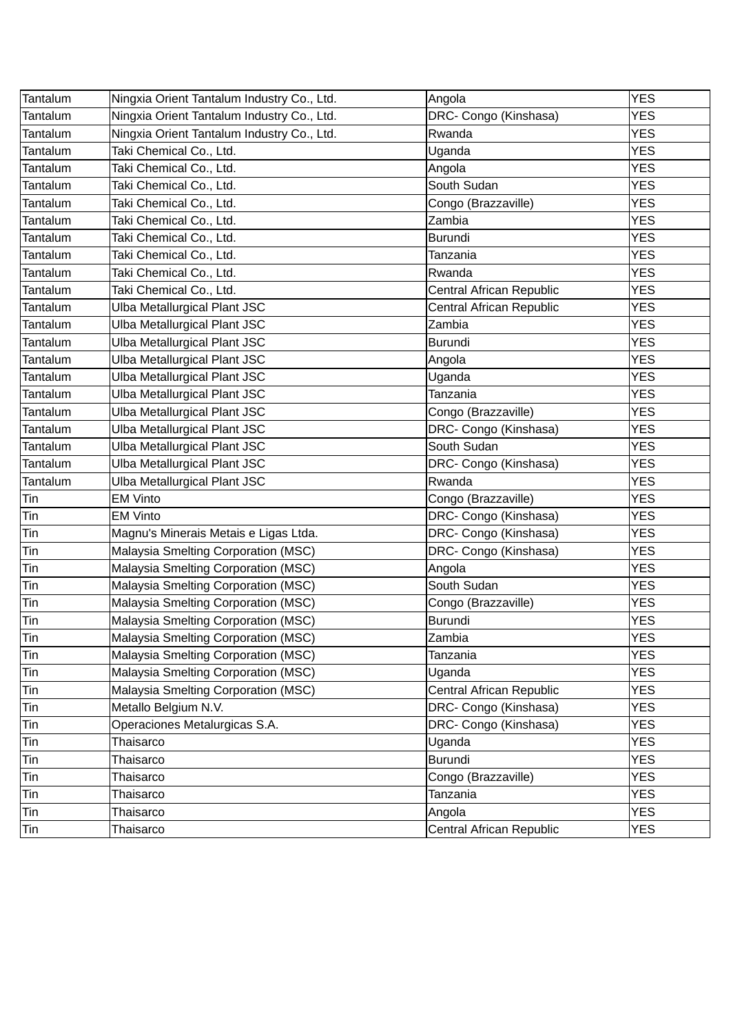| Tantalum          | Ningxia Orient Tantalum Industry Co., Ltd. | Angola                   | <b>YES</b> |
|-------------------|--------------------------------------------|--------------------------|------------|
| Tantalum          | Ningxia Orient Tantalum Industry Co., Ltd. | DRC- Congo (Kinshasa)    | <b>YES</b> |
| Tantalum          | Ningxia Orient Tantalum Industry Co., Ltd. | Rwanda                   | <b>YES</b> |
| Tantalum          | Taki Chemical Co., Ltd.                    | Uganda                   | <b>YES</b> |
| Tantalum          | Taki Chemical Co., Ltd.                    | Angola                   | <b>YES</b> |
| Tantalum          | Taki Chemical Co., Ltd.                    | South Sudan              | <b>YES</b> |
| Tantalum          | Taki Chemical Co., Ltd.                    | Congo (Brazzaville)      | <b>YES</b> |
| Tantalum          | Taki Chemical Co., Ltd.                    | Zambia                   | <b>YES</b> |
| Tantalum          | Taki Chemical Co., Ltd.                    | <b>Burundi</b>           | <b>YES</b> |
| Tantalum          | Taki Chemical Co., Ltd.                    | Tanzania                 | <b>YES</b> |
| Tantalum          | Taki Chemical Co., Ltd.                    | Rwanda                   | <b>YES</b> |
| Tantalum          | Taki Chemical Co., Ltd.                    | Central African Republic | <b>YES</b> |
| Tantalum          | Ulba Metallurgical Plant JSC               | Central African Republic | <b>YES</b> |
| Tantalum          | Ulba Metallurgical Plant JSC               | Zambia                   | <b>YES</b> |
| Tantalum          | Ulba Metallurgical Plant JSC               | <b>Burundi</b>           | <b>YES</b> |
| Tantalum          | Ulba Metallurgical Plant JSC               | Angola                   | <b>YES</b> |
| Tantalum          | Ulba Metallurgical Plant JSC               | Uganda                   | <b>YES</b> |
| Tantalum          | Ulba Metallurgical Plant JSC               | Tanzania                 | <b>YES</b> |
| Tantalum          | Ulba Metallurgical Plant JSC               | Congo (Brazzaville)      | <b>YES</b> |
| Tantalum          | Ulba Metallurgical Plant JSC               | DRC- Congo (Kinshasa)    | <b>YES</b> |
| Tantalum          | Ulba Metallurgical Plant JSC               | South Sudan              | <b>YES</b> |
| Tantalum          | Ulba Metallurgical Plant JSC               | DRC- Congo (Kinshasa)    | <b>YES</b> |
| Tantalum          | Ulba Metallurgical Plant JSC               | Rwanda                   | <b>YES</b> |
| Tin               | <b>EM Vinto</b>                            | Congo (Brazzaville)      | <b>YES</b> |
| Tin               | <b>EM Vinto</b>                            | DRC- Congo (Kinshasa)    | <b>YES</b> |
| Tin               | Magnu's Minerais Metais e Ligas Ltda.      | DRC- Congo (Kinshasa)    | <b>YES</b> |
| Tin               | Malaysia Smelting Corporation (MSC)        | DRC- Congo (Kinshasa)    | <b>YES</b> |
| Tin               | Malaysia Smelting Corporation (MSC)        | Angola                   | <b>YES</b> |
| Tin               | Malaysia Smelting Corporation (MSC)        | South Sudan              | <b>YES</b> |
| Tin               | Malaysia Smelting Corporation (MSC)        | Congo (Brazzaville)      | <b>YES</b> |
| Tin               | Malaysia Smelting Corporation (MSC)        | Burundi                  | <b>YES</b> |
| $\overline{T}$ in | Malaysia Smelting Corporation (MSC)        | Zambia                   | <b>YES</b> |
| Tin               | Malaysia Smelting Corporation (MSC)        | Tanzania                 | <b>YES</b> |
| Tin               | Malaysia Smelting Corporation (MSC)        | Uganda                   | <b>YES</b> |
| Tin               | Malaysia Smelting Corporation (MSC)        | Central African Republic | <b>YES</b> |
| Tin               | Metallo Belgium N.V.                       | DRC- Congo (Kinshasa)    | <b>YES</b> |
| Tin               | Operaciones Metalurgicas S.A.              | DRC- Congo (Kinshasa)    | <b>YES</b> |
| Tin               | Thaisarco                                  | Uganda                   | <b>YES</b> |
| Tin               | Thaisarco                                  | <b>Burundi</b>           | <b>YES</b> |
| Tin               | Thaisarco                                  | Congo (Brazzaville)      | <b>YES</b> |
| Tin               | Thaisarco                                  | Tanzania                 | <b>YES</b> |
| Tin               | Thaisarco                                  | Angola                   | <b>YES</b> |
| Tin               | Thaisarco                                  | Central African Republic | <b>YES</b> |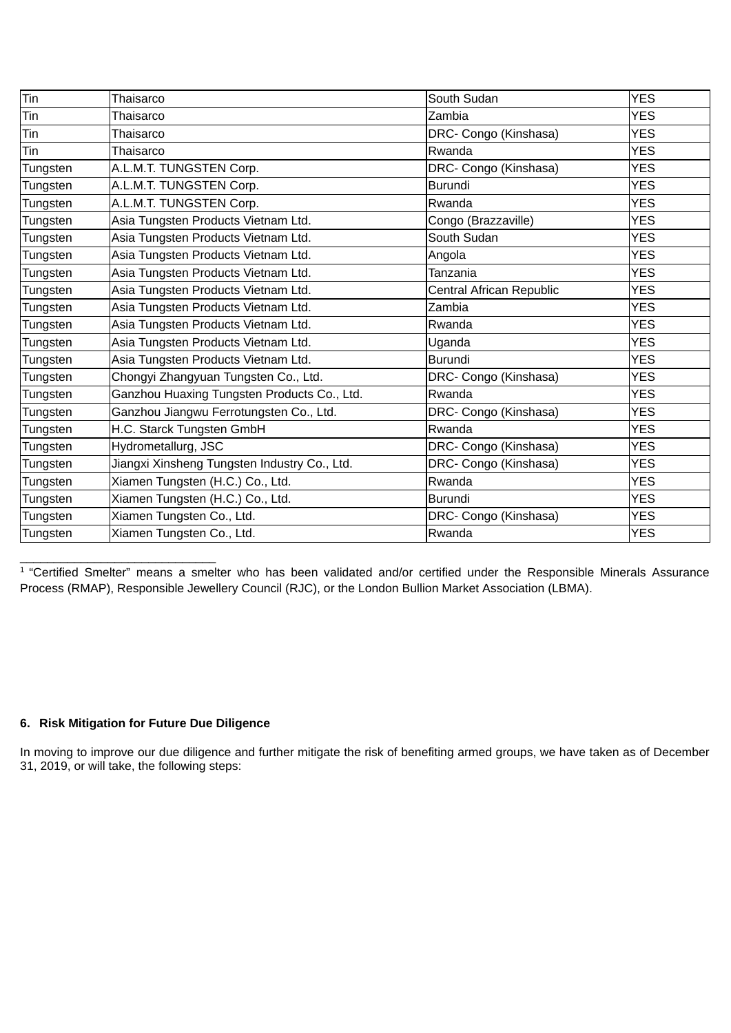| Tin      | Thaisarco                                    | South Sudan              | <b>YES</b> |
|----------|----------------------------------------------|--------------------------|------------|
| Tin      | Thaisarco                                    | Zambia                   | <b>YES</b> |
| Tin      | Thaisarco                                    | DRC- Congo (Kinshasa)    | <b>YES</b> |
| Tin      | Thaisarco                                    | Rwanda                   | <b>YES</b> |
| Tungsten | A.L.M.T. TUNGSTEN Corp.                      | DRC- Congo (Kinshasa)    | <b>YES</b> |
| Tungsten | A.L.M.T. TUNGSTEN Corp.                      | <b>Burundi</b>           | <b>YES</b> |
| Tungsten | A.L.M.T. TUNGSTEN Corp.                      | Rwanda                   | <b>YES</b> |
| Tungsten | Asia Tungsten Products Vietnam Ltd.          | Congo (Brazzaville)      | <b>YES</b> |
| Tungsten | Asia Tungsten Products Vietnam Ltd.          | South Sudan              | <b>YES</b> |
| Tungsten | Asia Tungsten Products Vietnam Ltd.          | Angola                   | <b>YES</b> |
| Tungsten | Asia Tungsten Products Vietnam Ltd.          | Tanzania                 | <b>YES</b> |
| Tungsten | Asia Tungsten Products Vietnam Ltd.          | Central African Republic | <b>YES</b> |
| Tungsten | Asia Tungsten Products Vietnam Ltd.          | Zambia                   | <b>YES</b> |
| Tungsten | Asia Tungsten Products Vietnam Ltd.          | Rwanda                   | <b>YES</b> |
| Tungsten | Asia Tungsten Products Vietnam Ltd.          | Uganda                   | <b>YES</b> |
| Tungsten | Asia Tungsten Products Vietnam Ltd.          | <b>Burundi</b>           | <b>YES</b> |
| Tungsten | Chongyi Zhangyuan Tungsten Co., Ltd.         | DRC- Congo (Kinshasa)    | <b>YES</b> |
| Tungsten | Ganzhou Huaxing Tungsten Products Co., Ltd.  | Rwanda                   | <b>YES</b> |
| Tungsten | Ganzhou Jiangwu Ferrotungsten Co., Ltd.      | DRC- Congo (Kinshasa)    | <b>YES</b> |
| Tungsten | H.C. Starck Tungsten GmbH                    | Rwanda                   | <b>YES</b> |
| Tungsten | Hydrometallurg, JSC                          | DRC- Congo (Kinshasa)    | <b>YES</b> |
| Tungsten | Jiangxi Xinsheng Tungsten Industry Co., Ltd. | DRC- Congo (Kinshasa)    | <b>YES</b> |
| Tungsten | Xiamen Tungsten (H.C.) Co., Ltd.             | Rwanda                   | <b>YES</b> |
| Tungsten | Xiamen Tungsten (H.C.) Co., Ltd.             | Burundi                  | <b>YES</b> |
| Tungsten | Xiamen Tungsten Co., Ltd.                    | DRC- Congo (Kinshasa)    | <b>YES</b> |
| Tungsten | Xiamen Tungsten Co., Ltd.                    | Rwanda                   | <b>YES</b> |

1 "Certified Smelter" means a smelter who has been validated and/or certified under the Responsible Minerals Assurance Process (RMAP), Responsible Jewellery Council (RJC), or the London Bullion Market Association (LBMA).

### **6. Risk Mitigation for Future Due Diligence**

In moving to improve our due diligence and further mitigate the risk of benefiting armed groups, we have taken as of December 31, 2019, or will take, the following steps: